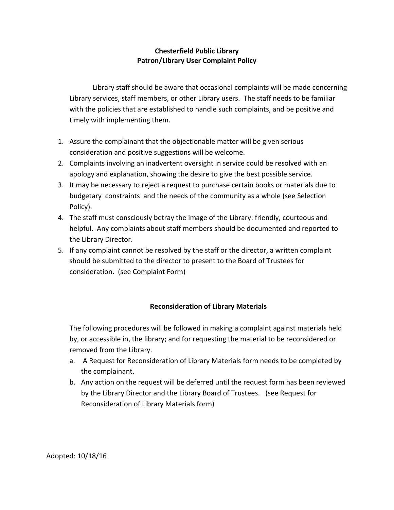## **Chesterfield Public Library Patron/Library User Complaint Policy**

Library staff should be aware that occasional complaints will be made concerning Library services, staff members, or other Library users. The staff needs to be familiar with the policies that are established to handle such complaints, and be positive and timely with implementing them.

- 1. Assure the complainant that the objectionable matter will be given serious consideration and positive suggestions will be welcome.
- 2. Complaints involving an inadvertent oversight in service could be resolved with an apology and explanation, showing the desire to give the best possible service.
- 3. It may be necessary to reject a request to purchase certain books or materials due to budgetary constraints and the needs of the community as a whole (see Selection Policy).
- 4. The staff must consciously betray the image of the Library: friendly, courteous and helpful. Any complaints about staff members should be documented and reported to the Library Director.
- 5. If any complaint cannot be resolved by the staff or the director, a written complaint should be submitted to the director to present to the Board of Trustees for consideration. (see Complaint Form)

## **Reconsideration of Library Materials**

The following procedures will be followed in making a complaint against materials held by, or accessible in, the library; and for requesting the material to be reconsidered or removed from the Library.

- a. A Request for Reconsideration of Library Materials form needs to be completed by the complainant.
- b. Any action on the request will be deferred until the request form has been reviewed by the Library Director and the Library Board of Trustees. (see Request for Reconsideration of Library Materials form)

Adopted: 10/18/16